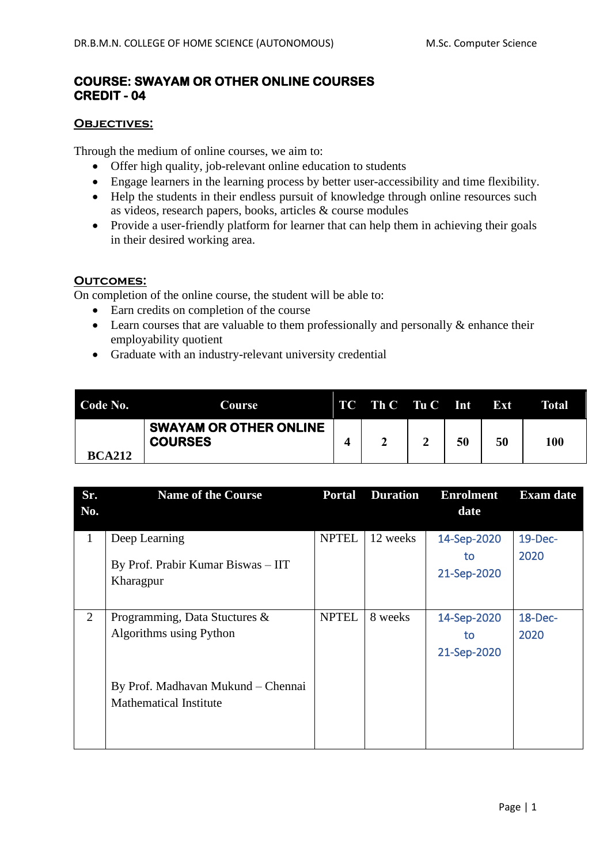## **COURSE: SWAYAM OR OTHER ONLINE COURSES CREDIT - 04**

## **OBJECTIVES:**

Through the medium of online courses, we aim to:

- Offer high quality, job-relevant online education to students
- Engage learners in the learning process by better user-accessibility and time flexibility.
- Help the students in their endless pursuit of knowledge through online resources such as videos, research papers, books, articles & course modules
- Provide a user-friendly platform for learner that can help them in achieving their goals in their desired working area.

## **Outcomes:**

On completion of the online course, the student will be able to:

- Earn credits on completion of the course
- Learn courses that are valuable to them professionally and personally  $\&$  enhance their employability quotient
- Graduate with an industry-relevant university credential

| Code No.      | <b>Course</b>                                   | TC - | Th C Tu C | Int | Ext | Total |
|---------------|-------------------------------------------------|------|-----------|-----|-----|-------|
| <b>BCA212</b> | <b>SWAYAM OR OTHER ONLINE</b><br><b>COURSES</b> |      |           | 50  | 50  | 100   |

| Sr.            | <b>Name of the Course</b>                                           | <b>Portal</b> | <b>Duration</b> | <b>Enrolment</b>                 | <b>Exam date</b> |
|----------------|---------------------------------------------------------------------|---------------|-----------------|----------------------------------|------------------|
| No.            |                                                                     |               |                 | date                             |                  |
| $\mathbf{1}$   | Deep Learning<br>By Prof. Prabir Kumar Biswas - IIT<br>Kharagpur    | <b>NPTEL</b>  | 12 weeks        | 14-Sep-2020<br>to<br>21-Sep-2020 | 19-Dec-<br>2020  |
| $\overline{2}$ | Programming, Data Stuctures &<br>Algorithms using Python            | <b>NPTEL</b>  | 8 weeks         | 14-Sep-2020<br>to<br>21-Sep-2020 | 18-Dec-<br>2020  |
|                | By Prof. Madhavan Mukund – Chennai<br><b>Mathematical Institute</b> |               |                 |                                  |                  |